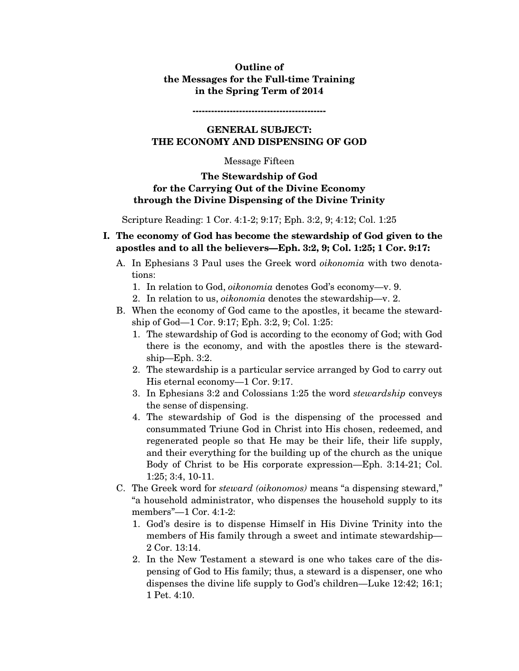## **Outline of the Messages for the Full-time Training in the Spring Term of 2014**

**-------------------------------------------** 

## **GENERAL SUBJECT: THE ECONOMY AND DISPENSING OF GOD**

#### Message Fifteen

### **The Stewardship of God for the Carrying Out of the Divine Economy through the Divine Dispensing of the Divine Trinity**

Scripture Reading: 1 Cor. 4:1-2; 9:17; Eph. 3:2, 9; 4:12; Col. 1:25

- **I. The economy of God has become the stewardship of God given to the apostles and to all the believers—Eph. 3:2, 9; Col. 1:25; 1 Cor. 9:17:** 
	- A. In Ephesians 3 Paul uses the Greek word *oikonomia* with two denotations:
		- 1. In relation to God, *oikonomia* denotes God's economy—v. 9.
		- 2. In relation to us, *oikonomia* denotes the stewardship—v. 2.
	- B. When the economy of God came to the apostles, it became the stewardship of God—1 Cor. 9:17; Eph. 3:2, 9; Col. 1:25:
		- 1. The stewardship of God is according to the economy of God; with God there is the economy, and with the apostles there is the stewardship—Eph. 3:2.
		- 2. The stewardship is a particular service arranged by God to carry out His eternal economy—1 Cor. 9:17.
		- 3. In Ephesians 3:2 and Colossians 1:25 the word *stewardship* conveys the sense of dispensing.
		- 4. The stewardship of God is the dispensing of the processed and consummated Triune God in Christ into His chosen, redeemed, and regenerated people so that He may be their life, their life supply, and their everything for the building up of the church as the unique Body of Christ to be His corporate expression—Eph. 3:14-21; Col. 1:25; 3:4, 10-11.
	- C. The Greek word for *steward (oikonomos)* means "a dispensing steward," "a household administrator, who dispenses the household supply to its members"—1 Cor. 4:1-2:
		- 1. God's desire is to dispense Himself in His Divine Trinity into the members of His family through a sweet and intimate stewardship— 2 Cor. 13:14.
		- 2. In the New Testament a steward is one who takes care of the dispensing of God to His family; thus, a steward is a dispenser, one who dispenses the divine life supply to God's children—Luke 12:42; 16:1; 1 Pet. 4:10.